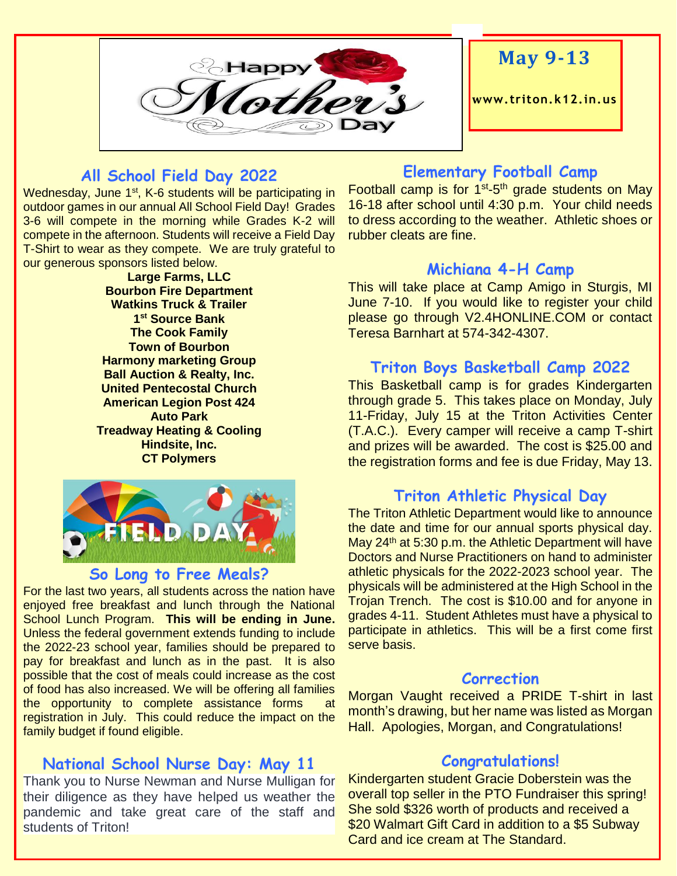

# **May 9-13**

**www. triton.k12.in.us**

### **All School Field Day 2022**

Wednesday, June 1<sup>st</sup>, K-6 students will be participating in outdoor games in our annual All School Field Day! Grades 3-6 will compete in the morning while Grades K-2 will compete in the afternoon. Students will receive a Field Day T-Shirt to wear as they compete. We are truly grateful to our generous sponsors listed below.

> **Large Farms, LLC Bourbon Fire Department Watkins Truck & Trailer 1 st Source Bank The Cook Family Town of Bourbon Harmony marketing Group Ball Auction & Realty, Inc. United Pentecostal Church American Legion Post 424 Auto Park Treadway Heating & Cooling Hindsite, Inc. CT Polymers**



# **So Long to Free Meals?**

For the last two years, all students across the nation have enjoyed free breakfast and lunch through the National School Lunch Program. **This will be ending in June.** Unless the federal government extends funding to include the 2022-23 school year, families should be prepared to pay for breakfast and lunch as in the past. It is also possible that the cost of meals could increase as the cost of food has also increased. We will be offering all families the opportunity to complete assistance forms at registration in July. This could reduce the impact on the family budget if found eligible.

#### **National School Nurse Day: May 11**

Thank you to Nurse Newman and Nurse Mulligan for their diligence as they have helped us weather the pandemic and take great care of the staff and students of Triton!

#### **Elementary Football Camp**

Football camp is for 1<sup>st</sup>-5<sup>th</sup> grade students on May 16-18 after school until 4:30 p.m. Your child needs to dress according to the weather. Athletic shoes or rubber cleats are fine.

#### **Michiana 4-H Camp**

This will take place at Camp Amigo in Sturgis, MI June 7-10. If you would like to register your child please go through V2.4HONLINE.COM or contact Teresa Barnhart at 574-342-4307.

#### **Triton Boys Basketball Camp 2022**

This Basketball camp is for grades Kindergarten through grade 5. This takes place on Monday, July 11-Friday, July 15 at the Triton Activities Center (T.A.C.). Every camper will receive a camp T-shirt and prizes will be awarded. The cost is \$25.00 and the registration forms and fee is due Friday, May 13.

#### **Triton Athletic Physical Day**

The Triton Athletic Department would like to announce the date and time for our annual sports physical day. May  $24<sup>th</sup>$  at 5:30 p.m. the Athletic Department will have Doctors and Nurse Practitioners on hand to administer athletic physicals for the 2022-2023 school year. The physicals will be administered at the High School in the Trojan Trench. The cost is \$10.00 and for anyone in grades 4-11. Student Athletes must have a physical to participate in athletics. This will be a first come first serve basis.

#### **Correction**

Morgan Vaught received a PRIDE T-shirt in last month's drawing, but her name was listed as Morgan Hall. Apologies, Morgan, and Congratulations!

#### **Congratulations!**

Kindergarten student Gracie Doberstein was the overall top seller in the PTO Fundraiser this spring! She sold \$326 worth of products and received a \$20 Walmart Gift Card in addition to a \$5 Subway Card and ice cream at The Standard.